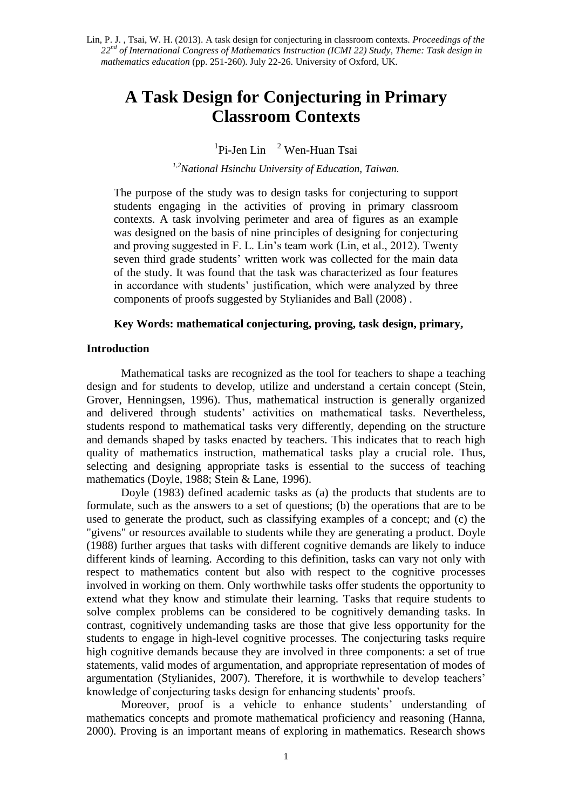# **A Task Design for Conjecturing in Primary Classroom Contexts**

 ${}^{1}$ Pi-Jen Lin  ${}^{2}$  Wen-Huan Tsai

*1,2National Hsinchu University of Education, Taiwan.*

The purpose of the study was to design tasks for conjecturing to support students engaging in the activities of proving in primary classroom contexts. A task involving perimeter and area of figures as an example was designed on the basis of nine principles of designing for conjecturing and proving suggested in F. L. Lin's team work (Lin, et al., 2012). Twenty seven third grade students' written work was collected for the main data of the study. It was found that the task was characterized as four features in accordance with students' justification, which were analyzed by three components of proofs suggested by Stylianides and Ball (2008) .

# **Key Words: mathematical conjecturing, proving, task design, primary,**

#### **Introduction**

Mathematical tasks are recognized as the tool for teachers to shape a teaching design and for students to develop, utilize and understand a certain concept (Stein, Grover, Henningsen, 1996). Thus, mathematical instruction is generally organized and delivered through students' activities on mathematical tasks. Nevertheless, students respond to mathematical tasks very differently, depending on the structure and demands shaped by tasks enacted by teachers. This indicates that to reach high quality of mathematics instruction, mathematical tasks play a crucial role. Thus, selecting and designing appropriate tasks is essential to the success of teaching mathematics (Doyle, 1988; Stein & Lane, 1996).

Doyle (1983) defined academic tasks as (a) the products that students are to formulate, such as the answers to a set of questions; (b) the operations that are to be used to generate the product, such as classifying examples of a concept; and (c) the "givens" or resources available to students while they are generating a product. Doyle (1988) further argues that tasks with different cognitive demands are likely to induce different kinds of learning. According to this definition, tasks can vary not only with respect to mathematics content but also with respect to the cognitive processes involved in working on them. Only worthwhile tasks offer students the opportunity to extend what they know and stimulate their learning. Tasks that require students to solve complex problems can be considered to be cognitively demanding tasks. In contrast, cognitively undemanding tasks are those that give less opportunity for the students to engage in high-level cognitive processes. The conjecturing tasks require high cognitive demands because they are involved in three components: a set of true statements, valid modes of argumentation, and appropriate representation of modes of argumentation (Stylianides, 2007). Therefore, it is worthwhile to develop teachers' knowledge of conjecturing tasks design for enhancing students' proofs.

Moreover, proof is a vehicle to enhance students' understanding of mathematics concepts and promote mathematical proficiency and reasoning (Hanna, 2000). Proving is an important means of exploring in mathematics. Research shows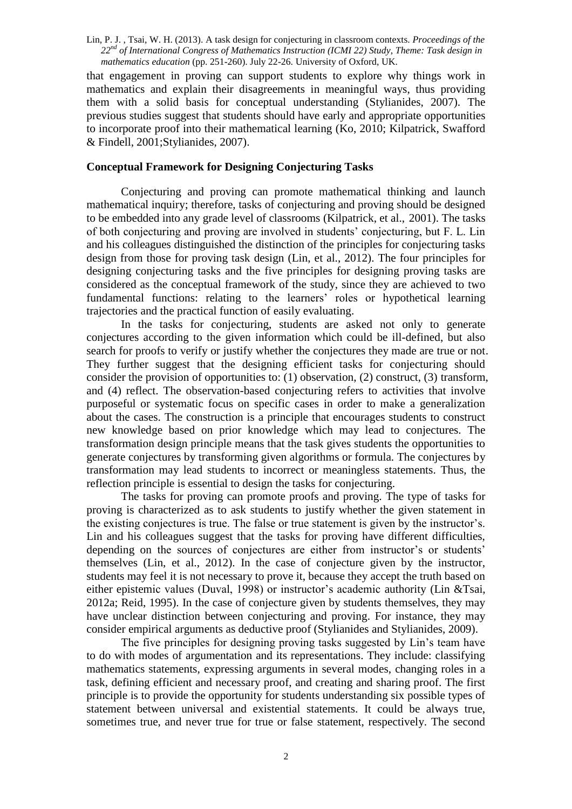that engagement in proving can support students to explore why things work in mathematics and explain their disagreements in meaningful ways, thus providing them with a solid basis for conceptual understanding (Stylianides, 2007). The previous studies suggest that students should have early and appropriate opportunities to incorporate proof into their mathematical learning (Ko, 2010; Kilpatrick, Swafford & Findell, 2001;Stylianides, 2007).

# **Conceptual Framework for Designing Conjecturing Tasks**

Conjecturing and proving can promote mathematical thinking and launch mathematical inquiry; therefore, tasks of conjecturing and proving should be designed to be embedded into any grade level of classrooms (Kilpatrick, et al., 2001). The tasks of both conjecturing and proving are involved in students' conjecturing, but F. L. Lin and his colleagues distinguished the distinction of the principles for conjecturing tasks design from those for proving task design (Lin, et al., 2012). The four principles for designing conjecturing tasks and the five principles for designing proving tasks are considered as the conceptual framework of the study, since they are achieved to two fundamental functions: relating to the learners' roles or hypothetical learning trajectories and the practical function of easily evaluating.

In the tasks for conjecturing, students are asked not only to generate conjectures according to the given information which could be ill-defined, but also search for proofs to verify or justify whether the conjectures they made are true or not. They further suggest that the designing efficient tasks for conjecturing should consider the provision of opportunities to: (1) observation, (2) construct, (3) transform, and (4) reflect. The observation-based conjecturing refers to activities that involve purposeful or systematic focus on specific cases in order to make a generalization about the cases. The construction is a principle that encourages students to construct new knowledge based on prior knowledge which may lead to conjectures. The transformation design principle means that the task gives students the opportunities to generate conjectures by transforming given algorithms or formula. The conjectures by transformation may lead students to incorrect or meaningless statements. Thus, the reflection principle is essential to design the tasks for conjecturing.

The tasks for proving can promote proofs and proving. The type of tasks for proving is characterized as to ask students to justify whether the given statement in the existing conjectures is true. The false or true statement is given by the instructor's. Lin and his colleagues suggest that the tasks for proving have different difficulties, depending on the sources of conjectures are either from instructor's or students' themselves (Lin, et al., 2012). In the case of conjecture given by the instructor, students may feel it is not necessary to prove it, because they accept the truth based on either epistemic values (Duval, 1998) or instructor's academic authority (Lin &Tsai, 2012a; Reid, 1995). In the case of conjecture given by students themselves, they may have unclear distinction between conjecturing and proving. For instance, they may consider empirical arguments as deductive proof (Stylianides and Stylianides, 2009).

The five principles for designing proving tasks suggested by Lin's team have to do with modes of argumentation and its representations. They include: classifying mathematics statements, expressing arguments in several modes, changing roles in a task, defining efficient and necessary proof, and creating and sharing proof. The first principle is to provide the opportunity for students understanding six possible types of statement between universal and existential statements. It could be always true, sometimes true, and never true for true or false statement, respectively. The second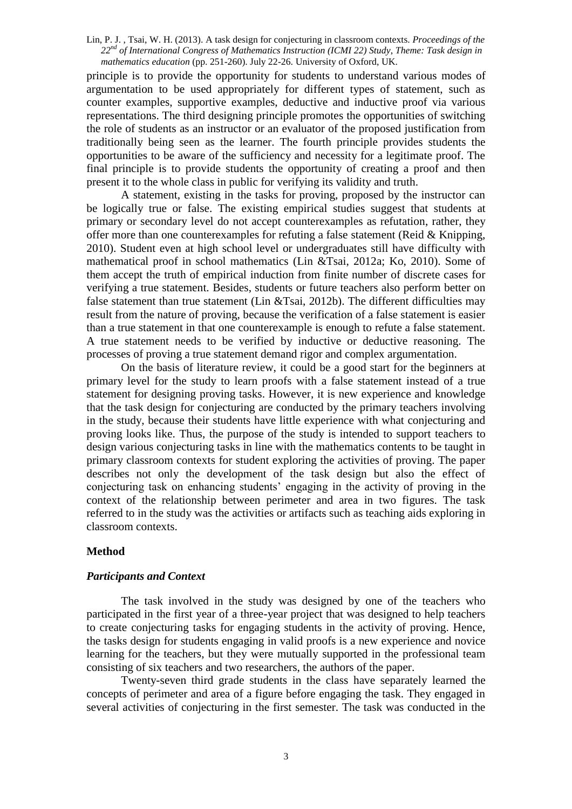principle is to provide the opportunity for students to understand various modes of argumentation to be used appropriately for different types of statement, such as counter examples, supportive examples, deductive and inductive proof via various representations. The third designing principle promotes the opportunities of switching the role of students as an instructor or an evaluator of the proposed justification from traditionally being seen as the learner. The fourth principle provides students the opportunities to be aware of the sufficiency and necessity for a legitimate proof. The final principle is to provide students the opportunity of creating a proof and then present it to the whole class in public for verifying its validity and truth.

A statement, existing in the tasks for proving, proposed by the instructor can be logically true or false. The existing empirical studies suggest that students at primary or secondary level do not accept counterexamples as refutation, rather, they offer more than one counterexamples for refuting a false statement (Reid  $&$  Knipping, 2010). Student even at high school level or undergraduates still have difficulty with mathematical proof in school mathematics (Lin &Tsai, 2012a; Ko, 2010). Some of them accept the truth of empirical induction from finite number of discrete cases for verifying a true statement. Besides, students or future teachers also perform better on false statement than true statement (Lin &Tsai, 2012b). The different difficulties may result from the nature of proving, because the verification of a false statement is easier than a true statement in that one counterexample is enough to refute a false statement. A true statement needs to be verified by inductive or deductive reasoning. The processes of proving a true statement demand rigor and complex argumentation.

On the basis of literature review, it could be a good start for the beginners at primary level for the study to learn proofs with a false statement instead of a true statement for designing proving tasks. However, it is new experience and knowledge that the task design for conjecturing are conducted by the primary teachers involving in the study, because their students have little experience with what conjecturing and proving looks like. Thus, the purpose of the study is intended to support teachers to design various conjecturing tasks in line with the mathematics contents to be taught in primary classroom contexts for student exploring the activities of proving. The paper describes not only the development of the task design but also the effect of conjecturing task on enhancing students' engaging in the activity of proving in the context of the relationship between perimeter and area in two figures. The task referred to in the study was the activities or artifacts such as teaching aids exploring in classroom contexts.

### **Method**

# *Participants and Context*

The task involved in the study was designed by one of the teachers who participated in the first year of a three-year project that was designed to help teachers to create conjecturing tasks for engaging students in the activity of proving. Hence, the tasks design for students engaging in valid proofs is a new experience and novice learning for the teachers, but they were mutually supported in the professional team consisting of six teachers and two researchers, the authors of the paper.

Twenty-seven third grade students in the class have separately learned the concepts of perimeter and area of a figure before engaging the task. They engaged in several activities of conjecturing in the first semester. The task was conducted in the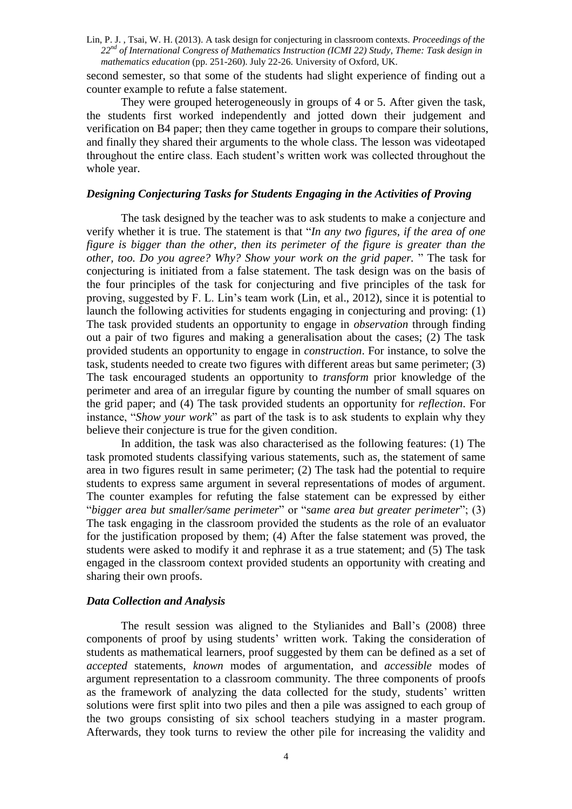second semester, so that some of the students had slight experience of finding out a counter example to refute a false statement.

They were grouped heterogeneously in groups of 4 or 5. After given the task, the students first worked independently and jotted down their judgement and verification on B4 paper; then they came together in groups to compare their solutions, and finally they shared their arguments to the whole class. The lesson was videotaped throughout the entire class. Each student's written work was collected throughout the whole year.

#### *Designing Conjecturing Tasks for Students Engaging in the Activities of Proving*

The task designed by the teacher was to ask students to make a conjecture and verify whether it is true. The statement is that "*In any two figures, if the area of one figure is bigger than the other, then its perimeter of the figure is greater than the other, too. Do you agree? Why? Show your work on the grid paper.* " The task for conjecturing is initiated from a false statement. The task design was on the basis of the four principles of the task for conjecturing and five principles of the task for proving, suggested by F. L. Lin's team work (Lin, et al., 2012), since it is potential to launch the following activities for students engaging in conjecturing and proving: (1) The task provided students an opportunity to engage in *observation* through finding out a pair of two figures and making a generalisation about the cases; (2) The task provided students an opportunity to engage in *construction*. For instance, to solve the task, students needed to create two figures with different areas but same perimeter; (3) The task encouraged students an opportunity to *transform* prior knowledge of the perimeter and area of an irregular figure by counting the number of small squares on the grid paper; and (4) The task provided students an opportunity for *reflection*. For instance, "*Show your work*" as part of the task is to ask students to explain why they believe their conjecture is true for the given condition.

In addition, the task was also characterised as the following features: (1) The task promoted students classifying various statements, such as, the statement of same area in two figures result in same perimeter; (2) The task had the potential to require students to express same argument in several representations of modes of argument. The counter examples for refuting the false statement can be expressed by either "*bigger area but smaller/same perimeter*" or "*same area but greater perimeter*"; (3) The task engaging in the classroom provided the students as the role of an evaluator for the justification proposed by them; (4) After the false statement was proved, the students were asked to modify it and rephrase it as a true statement; and (5) The task engaged in the classroom context provided students an opportunity with creating and sharing their own proofs.

#### *Data Collection and Analysis*

The result session was aligned to the Stylianides and Ball's (2008) three components of proof by using students' written work. Taking the consideration of students as mathematical learners, proof suggested by them can be defined as a set of *accepted* statements, *known* modes of argumentation, and *accessible* modes of argument representation to a classroom community. The three components of proofs as the framework of analyzing the data collected for the study, students' written solutions were first split into two piles and then a pile was assigned to each group of the two groups consisting of six school teachers studying in a master program. Afterwards, they took turns to review the other pile for increasing the validity and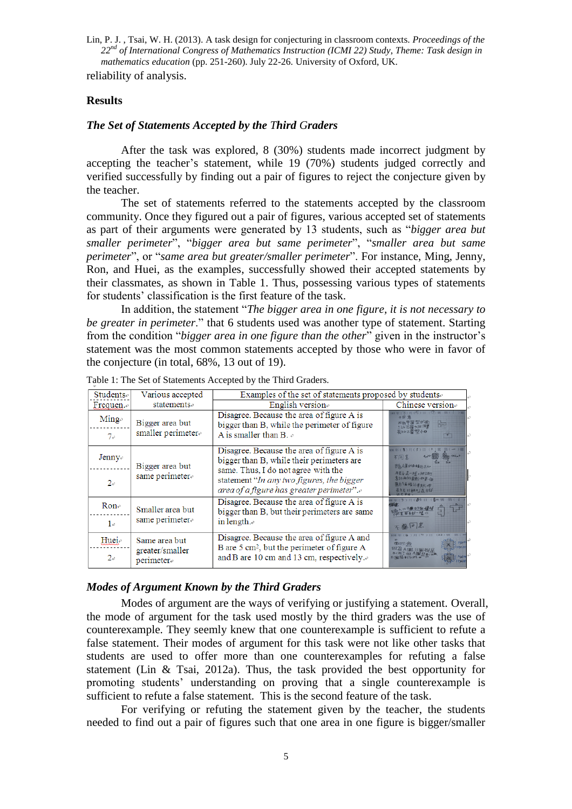reliability of analysis.

# **Results**

## *The Set of Statements Accepted by the Third Graders*

After the task was explored, 8 (30%) students made incorrect judgment by accepting the teacher's statement, while 19 (70%) students judged correctly and verified successfully by finding out a pair of figures to reject the conjecture given by the teacher.

The set of statements referred to the statements accepted by the classroom community. Once they figured out a pair of figures, various accepted set of statements as part of their arguments were generated by 13 students, such as "*bigger area but smaller perimeter*", "*bigger area but same perimeter*", "*smaller area but same perimeter*", or "*same area but greater/smaller perimeter*". For instance, Ming, Jenny, Ron, and Huei, as the examples, successfully showed their accepted statements by their classmates, as shown in Table 1. Thus, possessing various types of statements for students' classification is the first feature of the task.

In addition, the statement "*The bigger area in one figure, it is not necessary to be greater in perimeter*." that 6 students used was another type of statement. Starting from the condition "*bigger area in one figure than the other*" given in the instructor's statement was the most common statements accepted by those who were in favor of the conjecture (in total, 68%, 13 out of 19).

| Students.                     | Various accepted                              | Examples of the set of statements proposed by students.                                                                                          |                                                                        |
|-------------------------------|-----------------------------------------------|--------------------------------------------------------------------------------------------------------------------------------------------------|------------------------------------------------------------------------|
| Frequen. $\phi$               | statements                                    | English version                                                                                                                                  | Chinese version                                                        |
| $Ming_{\sigma}$<br>$7\degree$ | Bigger area but<br>smaller perimeter.         | Disagree. Because the area of figure A is<br>bigger than B, while the perimeter of figure<br>A is smaller than B. $\phi$                         | H                                                                      |
| Jenny-                        | Bigger area but                               | Disagree. Because the area of figure A is<br>bigger than B, while their perimeters are<br>same. Thus, I do not agree with the                    | 不同音<br>图式A图69函结比8大                                                     |
| $2\sigma$                     | same perimeter                                | statement "In any two figures, the bigger<br>area of a figure has greater perimeter".                                                            | 周長白星一样,幼以下<br>意的两向国形·对星一位<br>国白勺面 鳍 记录交大 2097<br>ill 京尤 ≥七亩灰大∫?qī 匀食hī |
| $Ron-$                        | Smaller area but<br>same perimeter            | Disagree. Because the area of figure A is<br>bigger than B, but their perimeters are same                                                        |                                                                        |
| $1 \circ$                     |                                               | in length. $\cdot$                                                                                                                               | 不能同意                                                                   |
| Hueie<br>$2\sigma$            | Same area but<br>greater/smaller<br>perimeter | Disagree. Because the area of figure A and<br>B are $5 \text{ cm}^2$ , but the perimeter of figure A<br>and B are 10 cm and 13 cm, respectively. | 西同音                                                                    |

Table 1: The Set of Statements Accepted by the Third Graders.

# *Modes of Argument Known by the Third Graders*

Modes of argument are the ways of verifying or justifying a statement. Overall, the mode of argument for the task used mostly by the third graders was the use of counterexample. They seemly knew that one counterexample is sufficient to refute a false statement. Their modes of argument for this task were not like other tasks that students are used to offer more than one counterexamples for refuting a false statement (Lin & Tsai, 2012a). Thus, the task provided the best opportunity for promoting students' understanding on proving that a single counterexample is sufficient to refute a false statement. This is the second feature of the task.

For verifying or refuting the statement given by the teacher, the students needed to find out a pair of figures such that one area in one figure is bigger/smaller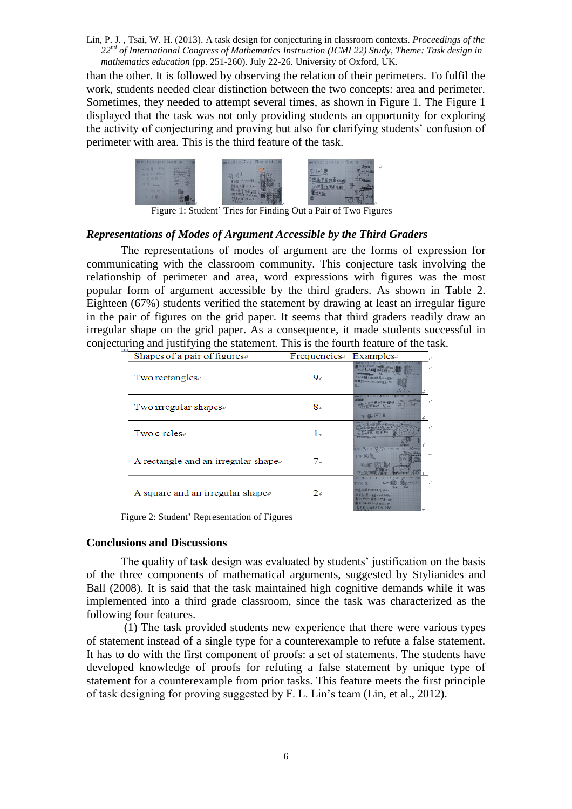than the other. It is followed by observing the relation of their perimeters. To fulfil the work, students needed clear distinction between the two concepts: area and perimeter. Sometimes, they needed to attempt several times, as shown in Figure 1. The Figure 1 displayed that the task was not only providing students an opportunity for exploring the activity of conjecturing and proving but also for clarifying students' confusion of perimeter with area. This is the third feature of the task.



Figure 1: Student' Tries for Finding Out a Pair of Two Figures

#### *Representations of Modes of Argument Accessible by the Third Graders*

The representations of modes of argument are the forms of expression for communicating with the classroom community. This conjecture task involving the relationship of perimeter and area, word expressions with figures was the most popular form of argument accessible by the third graders. As shown in Table 2. Eighteen (67%) students verified the statement by drawing at least an irregular figure in the pair of figures on the grid paper. It seems that third graders readily draw an irregular shape on the grid paper. As a consequence, it made students successful in conjecturing and justifying the statement. This is the fourth feature of the task.

| Shapes of a pair of figures.        | $F$ requencies | $Examples\cdot$                                                                       |
|-------------------------------------|----------------|---------------------------------------------------------------------------------------|
| Two rectangles.                     | $9\circ$       | ت<br><b>JO ONLINERA ALSTRO</b><br>$1000 - 100$                                        |
| Two irregular shapes $\phi$         | $8-$           | 47                                                                                    |
| Two circles-                        | $1\circ$       |                                                                                       |
| A rectangle and an irregular shape. | 7e             | دی<br>不可多                                                                             |
| A square and an irregular shape.    | $2\circ$       | ात इ<br>○丸八周のあるまたさん。<br>周若白、昆一木兰、北北口的方<br>しかいみかり出来してきまーに<br>白白藤绿花草灰灯<br>長年北 社会の大学道 白社 |

Figure 2: Student' Representation of Figures

#### **Conclusions and Discussions**

The quality of task design was evaluated by students' justification on the basis of the three components of mathematical arguments, suggested by Stylianides and Ball (2008). It is said that the task maintained high cognitive demands while it was implemented into a third grade classroom, since the task was characterized as the following four features.

(1) The task provided students new experience that there were various types of statement instead of a single type for a counterexample to refute a false statement. It has to do with the first component of proofs: a set of statements. The students have developed knowledge of proofs for refuting a false statement by unique type of statement for a counterexample from prior tasks. This feature meets the first principle of task designing for proving suggested by F. L. Lin's team (Lin, et al., 2012).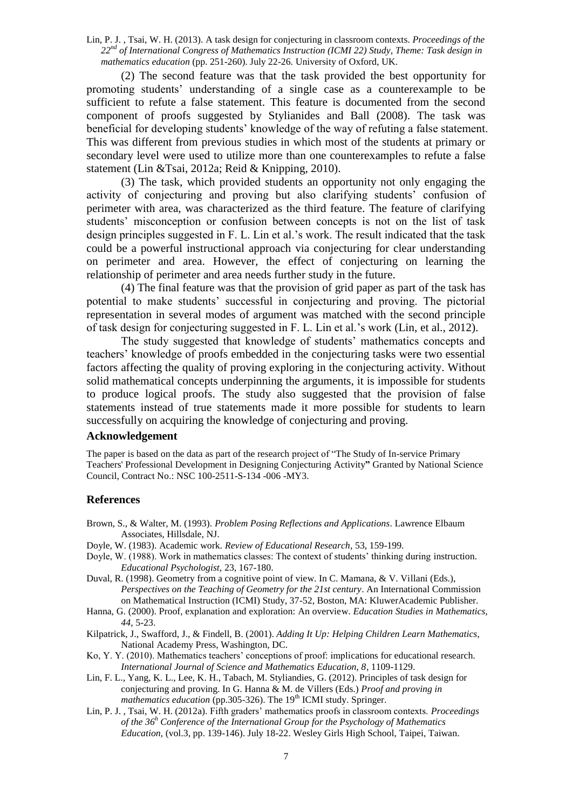(2) The second feature was that the task provided the best opportunity for promoting students' understanding of a single case as a counterexample to be sufficient to refute a false statement. This feature is documented from the second component of proofs suggested by Stylianides and Ball (2008). The task was beneficial for developing students' knowledge of the way of refuting a false statement. This was different from previous studies in which most of the students at primary or secondary level were used to utilize more than one counterexamples to refute a false statement (Lin &Tsai, 2012a; Reid & Knipping, 2010).

(3) The task, which provided students an opportunity not only engaging the activity of conjecturing and proving but also clarifying students' confusion of perimeter with area, was characterized as the third feature. The feature of clarifying students' misconception or confusion between concepts is not on the list of task design principles suggested in F. L. Lin et al.'s work. The result indicated that the task could be a powerful instructional approach via conjecturing for clear understanding on perimeter and area. However, the effect of conjecturing on learning the relationship of perimeter and area needs further study in the future.

(4) The final feature was that the provision of grid paper as part of the task has potential to make students' successful in conjecturing and proving. The pictorial representation in several modes of argument was matched with the second principle of task design for conjecturing suggested in F. L. Lin et al.'s work (Lin, et al., 2012).

The study suggested that knowledge of students' mathematics concepts and teachers' knowledge of proofs embedded in the conjecturing tasks were two essential factors affecting the quality of proving exploring in the conjecturing activity. Without solid mathematical concepts underpinning the arguments, it is impossible for students to produce logical proofs. The study also suggested that the provision of false statements instead of true statements made it more possible for students to learn successfully on acquiring the knowledge of conjecturing and proving.

## **Acknowledgement**

The paper is based on the data as part of the research project of "The Study of In-service Primary Teachers' Professional Development in Designing Conjecturing Activity**"** Granted by National Science Council, Contract No.: NSC 100-2511-S-134 -006 -MY3.

### **References**

- Brown, S., & Walter, M. (1993). *Problem Posing Reflections and Applications*. Lawrence Elbaum Associates, Hillsdale, NJ.
- Doyle, W. (1983). Academic work. *Review of Educational Research*, 53, 159-199.
- Doyle, W. (1988). Work in mathematics classes: The context of students' thinking during instruction. *Educational Psychologist,* 23, 167-180.
- Duval, R. (1998). Geometry from a cognitive point of view. In C. Mamana, & V. Villani (Eds.), *Perspectives on the Teaching of Geometry for the 21st century*. An International Commission on Mathematical Instruction (ICMI) Study, 37-52, Boston, MA: KluwerAcademic Publisher.
- Hanna, G. (2000). Proof, explanation and exploration: An overview. *Education Studies in Mathematics, 44*, 5-23.
- Kilpatrick, J., Swafford, J., & Findell, B. (2001). *Adding It Up: Helping Children Learn Mathematics*, National Academy Press, Washington, DC.
- Ko, Y. Y. (2010). Mathematics teachers' conceptions of proof: implications for educational research. *International Journal of Science and Mathematics Education, 8*, 1109-1129.
- Lin, F. L., Yang, K. L., Lee, K. H., Tabach, M. Styliandies, G. (2012). Principles of task design for conjecturing and proving. In G. Hanna & M. de Villers (Eds.) *Proof and proving in mathematics education* (pp.305-326). The 19<sup>th</sup> ICMI study. Springer.
- Lin, P. J. , Tsai, W. H. (2012a). Fifth graders' mathematics proofs in classroom contexts. *Proceedings of the 36<sup>h</sup> Conference of the International Group for the Psychology of Mathematics Education,* (vol.3, pp. 139-146). July 18-22. Wesley Girls High School, Taipei, Taiwan.